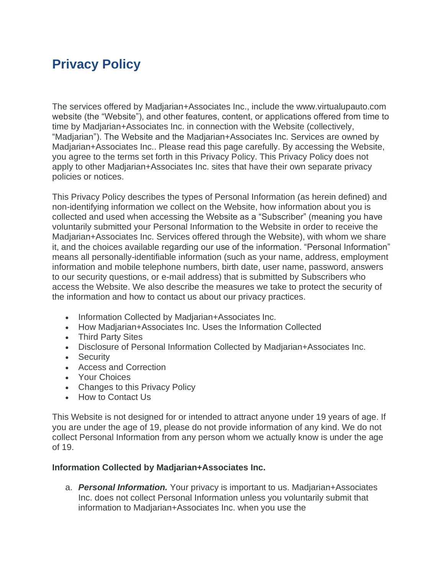# **Privacy Policy**

The services offered by Madjarian+Associates Inc., include the www.virtualupauto.com website (the "Website"), and other features, content, or applications offered from time to time by Madjarian+Associates Inc. in connection with the Website (collectively, "Madjarian"). The Website and the Madjarian+Associates Inc. Services are owned by Madjarian+Associates Inc.. Please read this page carefully. By accessing the Website, you agree to the terms set forth in this Privacy Policy. This Privacy Policy does not apply to other Madjarian+Associates Inc. sites that have their own separate privacy policies or notices.

This Privacy Policy describes the types of Personal Information (as herein defined) and non-identifying information we collect on the Website, how information about you is collected and used when accessing the Website as a "Subscriber" (meaning you have voluntarily submitted your Personal Information to the Website in order to receive the Madjarian+Associates Inc. Services offered through the Website), with whom we share it, and the choices available regarding our use of the information. "Personal Information" means all personally-identifiable information (such as your name, address, employment information and mobile telephone numbers, birth date, user name, password, answers to our security questions, or e-mail address) that is submitted by Subscribers who access the Website. We also describe the measures we take to protect the security of the information and how to contact us about our privacy practices.

- Information Collected by Madjarian+Associates Inc.
- How Madjarian+Associates Inc. Uses the Information Collected
- Third Party Sites
- Disclosure of Personal Information Collected by Madjarian+Associates Inc.
- Security
- Access and Correction
- Your Choices
- Changes to this Privacy Policy
- How to Contact Us

This Website is not designed for or intended to attract anyone under 19 years of age. If you are under the age of 19, please do not provide information of any kind. We do not collect Personal Information from any person whom we actually know is under the age of 19.

#### **Information Collected by Madjarian+Associates Inc.**

a. *Personal Information.* Your privacy is important to us. Madjarian+Associates Inc. does not collect Personal Information unless you voluntarily submit that information to Madjarian+Associates Inc. when you use the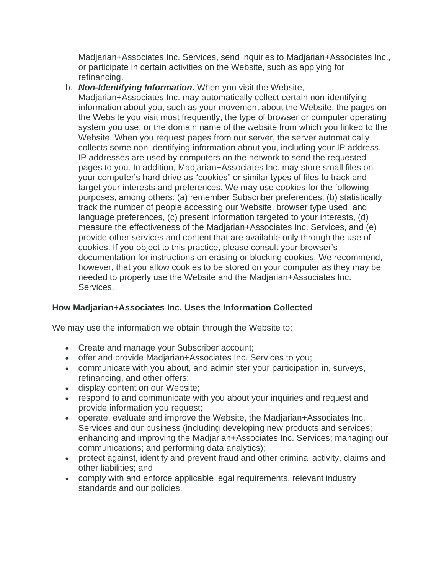Madjarian+Associates Inc. Services, send inquiries to Madjarian+Associates Inc., or participate in certain activities on the Website, such as applying for refinancing.

b. *Non-Identifying Information.* When you visit the Website,

Madjarian+Associates Inc. may automatically collect certain non-identifying information about you, such as your movement about the Website, the pages on the Website you visit most frequently, the type of browser or computer operating system you use, or the domain name of the website from which you linked to the Website. When you request pages from our server, the server automatically collects some non-identifying information about you, including your IP address. IP addresses are used by computers on the network to send the requested pages to you. In addition, Madjarian+Associates Inc. may store small files on your computer's hard drive as "cookies" or similar types of files to track and target your interests and preferences. We may use cookies for the following purposes, among others: (a) remember Subscriber preferences, (b) statistically track the number of people accessing our Website, browser type used, and language preferences, (c) present information targeted to your interests, (d) measure the effectiveness of the Madjarian+Associates Inc. Services, and (e) provide other services and content that are available only through the use of cookies. If you object to this practice, please consult your browser's documentation for instructions on erasing or blocking cookies. We recommend, however, that you allow cookies to be stored on your computer as they may be needed to properly use the Website and the Madjarian+Associates Inc. Services.

# **How Madjarian+Associates Inc. Uses the Information Collected**

We may use the information we obtain through the Website to:

- Create and manage your Subscriber account;
- offer and provide Madjarian+Associates Inc. Services to you;
- communicate with you about, and administer your participation in, surveys, refinancing, and other offers;
- display content on our Website;
- respond to and communicate with you about your inquiries and request and provide information you request;
- operate, evaluate and improve the Website, the Madjarian+Associates Inc. Services and our business (including developing new products and services; enhancing and improving the Madjarian+Associates Inc. Services; managing our communications; and performing data analytics);
- protect against, identify and prevent fraud and other criminal activity, claims and other liabilities; and
- comply with and enforce applicable legal requirements, relevant industry standards and our policies.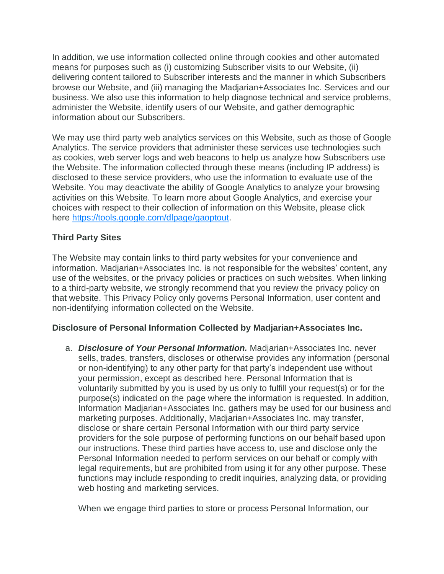In addition, we use information collected online through cookies and other automated means for purposes such as (i) customizing Subscriber visits to our Website, (ii) delivering content tailored to Subscriber interests and the manner in which Subscribers browse our Website, and (iii) managing the Madjarian+Associates Inc. Services and our business. We also use this information to help diagnose technical and service problems, administer the Website, identify users of our Website, and gather demographic information about our Subscribers.

We may use third party web analytics services on this Website, such as those of Google Analytics. The service providers that administer these services use technologies such as cookies, web server logs and web beacons to help us analyze how Subscribers use the Website. The information collected through these means (including IP address) is disclosed to these service providers, who use the information to evaluate use of the Website. You may deactivate the ability of Google Analytics to analyze your browsing activities on this Website. To learn more about Google Analytics, and exercise your choices with respect to their collection of information on this Website, please click here [https://tools.google.com/dlpage/gaoptout.](https://tools.google.com/dlpage/gaoptout)

## **Third Party Sites**

The Website may contain links to third party websites for your convenience and information. Madjarian+Associates Inc. is not responsible for the websites' content, any use of the websites, or the privacy policies or practices on such websites. When linking to a third-party website, we strongly recommend that you review the privacy policy on that website. This Privacy Policy only governs Personal Information, user content and non-identifying information collected on the Website.

#### **Disclosure of Personal Information Collected by Madjarian+Associates Inc.**

a. *Disclosure of Your Personal Information.* Madjarian+Associates Inc. never sells, trades, transfers, discloses or otherwise provides any information (personal or non-identifying) to any other party for that party's independent use without your permission, except as described here. Personal Information that is voluntarily submitted by you is used by us only to fulfill your request(s) or for the purpose(s) indicated on the page where the information is requested. In addition, Information Madjarian+Associates Inc. gathers may be used for our business and marketing purposes. Additionally, Madjarian+Associates Inc. may transfer, disclose or share certain Personal Information with our third party service providers for the sole purpose of performing functions on our behalf based upon our instructions. These third parties have access to, use and disclose only the Personal Information needed to perform services on our behalf or comply with legal requirements, but are prohibited from using it for any other purpose. These functions may include responding to credit inquiries, analyzing data, or providing web hosting and marketing services.

When we engage third parties to store or process Personal Information, our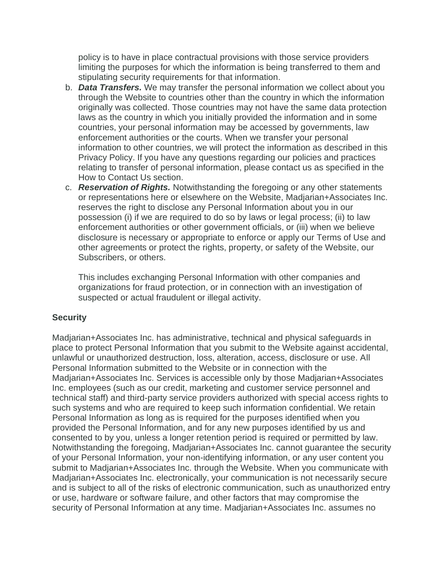policy is to have in place contractual provisions with those service providers limiting the purposes for which the information is being transferred to them and stipulating security requirements for that information.

- b. *Data Transfers.* We may transfer the personal information we collect about you through the Website to countries other than the country in which the information originally was collected. Those countries may not have the same data protection laws as the country in which you initially provided the information and in some countries, your personal information may be accessed by governments, law enforcement authorities or the courts. When we transfer your personal information to other countries, we will protect the information as described in this Privacy Policy. If you have any questions regarding our policies and practices relating to transfer of personal information, please contact us as specified in the How to Contact Us section.
- c. *Reservation of Rights.* Notwithstanding the foregoing or any other statements or representations here or elsewhere on the Website, Madjarian+Associates Inc. reserves the right to disclose any Personal Information about you in our possession (i) if we are required to do so by laws or legal process; (ii) to law enforcement authorities or other government officials, or (iii) when we believe disclosure is necessary or appropriate to enforce or apply our Terms of Use and other agreements or protect the rights, property, or safety of the Website, our Subscribers, or others.

This includes exchanging Personal Information with other companies and organizations for fraud protection, or in connection with an investigation of suspected or actual fraudulent or illegal activity.

#### **Security**

Madjarian+Associates Inc. has administrative, technical and physical safeguards in place to protect Personal Information that you submit to the Website against accidental, unlawful or unauthorized destruction, loss, alteration, access, disclosure or use. All Personal Information submitted to the Website or in connection with the Madjarian+Associates Inc. Services is accessible only by those Madjarian+Associates Inc. employees (such as our credit, marketing and customer service personnel and technical staff) and third-party service providers authorized with special access rights to such systems and who are required to keep such information confidential. We retain Personal Information as long as is required for the purposes identified when you provided the Personal Information, and for any new purposes identified by us and consented to by you, unless a longer retention period is required or permitted by law. Notwithstanding the foregoing, Madjarian+Associates Inc. cannot guarantee the security of your Personal Information, your non-identifying information, or any user content you submit to Madjarian+Associates Inc. through the Website. When you communicate with Madjarian+Associates Inc. electronically, your communication is not necessarily secure and is subject to all of the risks of electronic communication, such as unauthorized entry or use, hardware or software failure, and other factors that may compromise the security of Personal Information at any time. Madjarian+Associates Inc. assumes no